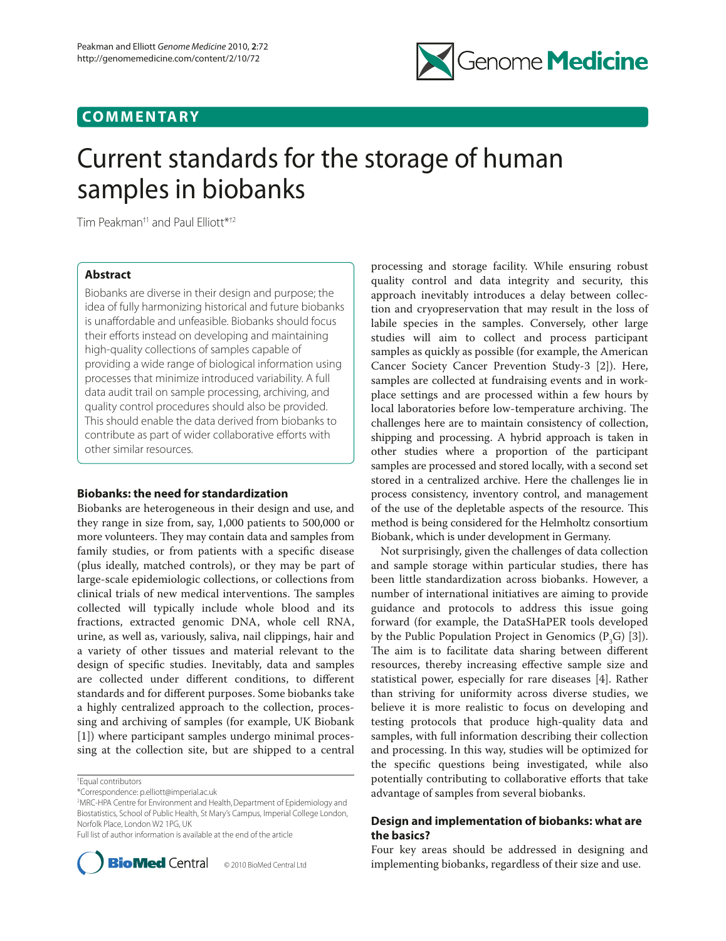## **COMMENTARY**



# Current standards for the storage of human samples in biobanks

Tim Peakman†1 and Paul Elliott\*†2

## **Abstract**

Biobanks are diverse in their design and purpose; the idea of fully harmonizing historical and future biobanks is unaffordable and unfeasible. Biobanks should focus their efforts instead on developing and maintaining high-quality collections of samples capable of providing a wide range of biological information using processes that minimize introduced variability. A full data audit trail on sample processing, archiving, and quality control procedures should also be provided. This should enable the data derived from biobanks to contribute as part of wider collaborative efforts with other similar resources.

## **Biobanks: the need for standardization**

Biobanks are heterogeneous in their design and use, and they range in size from, say, 1,000 patients to 500,000 or more volunteers. They may contain data and samples from family studies, or from patients with a specific disease (plus ideally, matched controls), or they may be part of large-scale epidemiologic collections, or collections from clinical trials of new medical interventions. The samples collected will typically include whole blood and its fractions, extracted genomic DNA, whole cell RNA, urine, as well as, variously, saliva, nail clippings, hair and a variety of other tissues and material relevant to the design of specific studies. Inevitably, data and samples are collected under different conditions, to different standards and for different purposes. Some biobanks take a highly centralized approach to the collection, processing and archiving of samples (for example, UK Biobank [1]) where participant samples undergo minimal processing at the collection site, but are shipped to a central

† Equal contributors

Full list of author information is available at the end of the article



© 2010 BioMed Central Ltd

processing and storage facility. While ensuring robust quality control and data integrity and security, this approach inevitably introduces a delay between collection and cryopreservation that may result in the loss of labile species in the samples. Conversely, other large studies will aim to collect and process participant samples as quickly as possible (for example, the American Cancer Society Cancer Prevention Study-3 [2]). Here, samples are collected at fundraising events and in workplace settings and are processed within a few hours by local laboratories before low-temperature archiving. The challenges here are to maintain consistency of collection, shipping and processing. A hybrid approach is taken in other studies where a proportion of the participant samples are processed and stored locally, with a second set stored in a centralized archive. Here the challenges lie in process consistency, inventory control, and management of the use of the depletable aspects of the resource. This method is being considered for the Helmholtz consortium Biobank, which is under development in Germany.

Not surprisingly, given the challenges of data collection and sample storage within particular studies, there has been little standardization across biobanks. However, a number of international initiatives are aiming to provide guidance and protocols to address this issue going forward (for example, the DataSHaPER tools developed by the Public Population Project in Genomics  $(P<sub>3</sub>G)$  [3]). The aim is to facilitate data sharing between different resources, thereby increasing effective sample size and statistical power, especially for rare diseases [4]. Rather than striving for uniformity across diverse studies, we believe it is more realistic to focus on developing and testing protocols that produce high-quality data and samples, with full information describing their collection and processing. In this way, studies will be optimized for the specific questions being investigated, while also potentially contributing to collaborative efforts that take advantage of samples from several biobanks.

## **Design and implementation of biobanks: what are the basics?**

Four key areas should be addressed in designing and implementing biobanks, regardless of their size and use.

<sup>\*</sup>Correspondence: p.elliott@imperial.ac.uk

<sup>2</sup> MRC-HPA Centre for Environment and Health,Department of Epidemiology and Biostatistics, School of Public Health, St Mary's Campus, Imperial College London, Norfolk Place, London W2 1PG, UK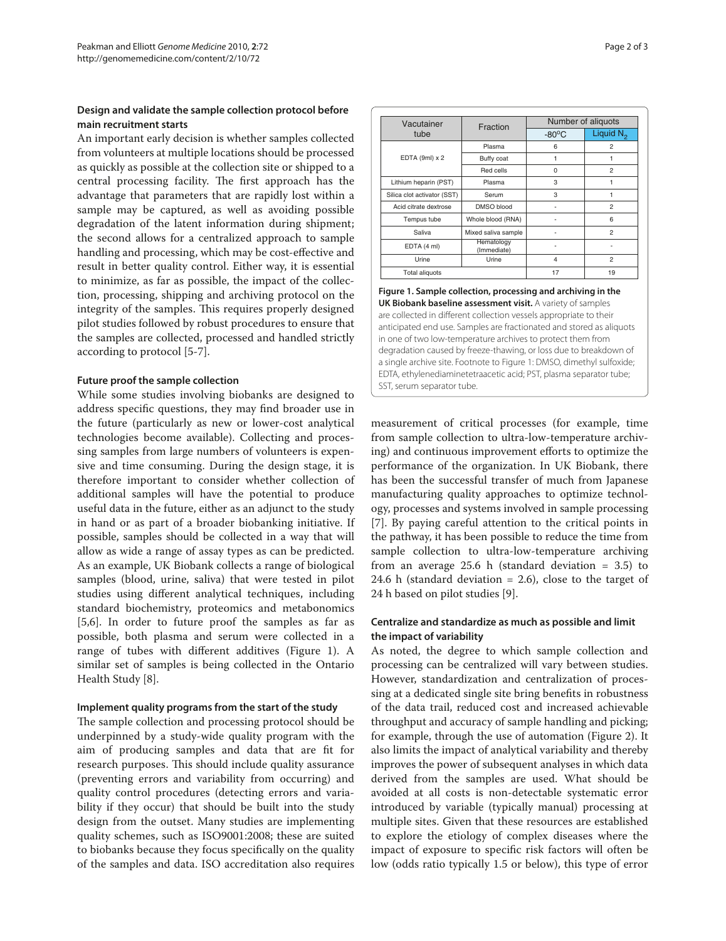## **Design and validate the sample collection protocol before main recruitment starts**

An important early decision is whether samples collected from volunteers at multiple locations should be processed as quickly as possible at the collection site or shipped to a central processing facility. The first approach has the advantage that parameters that are rapidly lost within a sample may be captured, as well as avoiding possible degradation of the latent information during shipment; the second allows for a centralized approach to sample handling and processing, which may be cost-effective and result in better quality control. Either way, it is essential to minimize, as far as possible, the impact of the collection, processing, shipping and archiving protocol on the integrity of the samples. This requires properly designed pilot studies followed by robust procedures to ensure that the samples are collected, processed and handled strictly according to protocol [5-7].

## **Future proof the sample collection**

While some studies involving biobanks are designed to address specific questions, they may find broader use in the future (particularly as new or lower-cost analytical technologies become available). Collecting and processing samples from large numbers of volunteers is expensive and time consuming. During the design stage, it is therefore important to consider whether collection of additional samples will have the potential to produce useful data in the future, either as an adjunct to the study in hand or as part of a broader biobanking initiative. If possible, samples should be collected in a way that will allow as wide a range of assay types as can be predicted. As an example, UK Biobank collects a range of biological samples (blood, urine, saliva) that were tested in pilot studies using different analytical techniques, including standard biochemistry, proteomics and metabonomics [5,6]. In order to future proof the samples as far as possible, both plasma and serum were collected in a range of tubes with different additives (Figure 1). A similar set of samples is being collected in the Ontario Health Study [8].

## **Implement quality programs from the start of the study**

The sample collection and processing protocol should be underpinned by a study-wide quality program with the aim of producing samples and data that are fit for research purposes. This should include quality assurance (preventing errors and variability from occurring) and quality control procedures (detecting errors and variability if they occur) that should be built into the study design from the outset. Many studies are implementing quality schemes, such as ISO9001:2008; these are suited to biobanks because they focus specifically on the quality of the samples and data. ISO accreditation also requires

| Vacutainer<br>tube          | Fraction                  | Number of aliguots |                |
|-----------------------------|---------------------------|--------------------|----------------|
|                             |                           | $-80^{\circ}$ C    | Liquid $N_2$   |
| EDTA (9ml) $x 2$            | Plasma                    | 6                  | $\overline{a}$ |
|                             | Buffy coat                | 1                  |                |
|                             | Red cells                 | $\Omega$           | $\overline{a}$ |
| Lithium heparin (PST)       | Plasma                    | 3                  |                |
| Silica clot activator (SST) | Serum                     | 3                  |                |
| Acid citrate dextrose       | DMSO blood                |                    | $\overline{a}$ |
| Tempus tube                 | Whole blood (RNA)         |                    | 6              |
| Saliva                      | Mixed saliva sample       |                    | $\overline{a}$ |
| EDTA (4 ml)                 | Hematology<br>(Immediate) |                    |                |
| Urine                       | Urine                     | $\overline{4}$     | $\overline{a}$ |
| <b>Total aliquots</b>       |                           | 17                 | 19             |

**Figure 1. Sample collection, processing and archiving in the UK Biobank baseline assessment visit.** A variety of samples are collected in different collection vessels appropriate to their anticipated end use. Samples are fractionated and stored as aliquots in one of two low-temperature archives to protect them from degradation caused by freeze-thawing, or loss due to breakdown of a single archive site. Footnote to Figure 1: DMSO, dimethyl sulfoxide; EDTA, ethylenediaminetetraacetic acid; PST, plasma separator tube; SST, serum separator tube.

measurement of critical processes (for example, time from sample collection to ultra-low-temperature archiving) and continuous improvement efforts to optimize the performance of the organization. In UK Biobank, there has been the successful transfer of much from Japanese manufacturing quality approaches to optimize technology, processes and systems involved in sample processing [7]. By paying careful attention to the critical points in the pathway, it has been possible to reduce the time from sample collection to ultra-low-temperature archiving from an average 25.6 h (standard deviation = 3.5) to 24.6 h (standard deviation  $= 2.6$ ), close to the target of 24 h based on pilot studies [9].

## **Centralize and standardize as much as possible and limit the impact of variability**

As noted, the degree to which sample collection and processing can be centralized will vary between studies. However, standardization and centralization of processing at a dedicated single site bring benefits in robustness of the data trail, reduced cost and increased achievable throughput and accuracy of sample handling and picking; for example, through the use of automation (Figure 2). It also limits the impact of analytical variability and thereby improves the power of subsequent analyses in which data derived from the samples are used. What should be avoided at all costs is non-detectable systematic error introduced by variable (typically manual) processing at multiple sites. Given that these resources are established to explore the etiology of complex diseases where the impact of exposure to specific risk factors will often be low (odds ratio typically 1.5 or below), this type of error